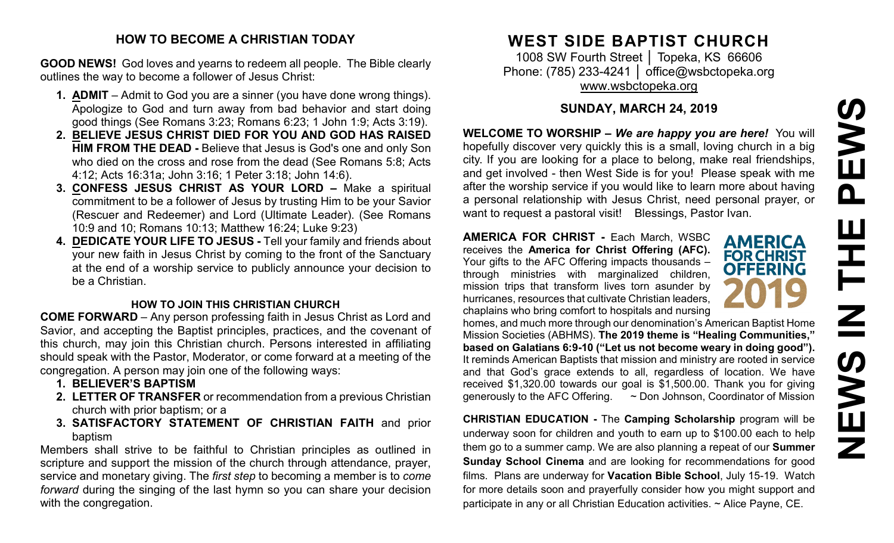# PEWS **NEWS IN THE PEWS**HH Z **SARNE**

### **HOW TO BECOME A CHRISTIAN TODAY**

**GOOD NEWS!** God loves and yearns to redeem all people. The Bible clearly outlines the way to become a follower of Jesus Christ:

- **1. ADMIT** Admit to God you are a sinner (you have done wrong things). Apologize to God and turn away from bad behavior and start doing good things (See Romans 3:23; Romans 6:23; 1 John 1:9; Acts 3:19).
- **2. BELIEVE JESUS CHRIST DIED FOR YOU AND GOD HAS RAISED HIM FROM THE DEAD -** Believe that Jesus is God's one and only Son who died on the cross and rose from the dead (See Romans 5:8; Acts 4:12; Acts 16:31a; John 3:16; 1 Peter 3:18; John 14:6).
- **3. CONFESS JESUS CHRIST AS YOUR LORD –** Make a spiritual commitment to be a follower of Jesus by trusting Him to be your Savior (Rescuer and Redeemer) and Lord (Ultimate Leader). (See Romans 10:9 and 10; Romans 10:13; Matthew 16:24; Luke 9:23)
- **4. DEDICATE YOUR LIFE TO JESUS -** Tell your family and friends about your new faith in Jesus Christ by coming to the front of the Sanctuary at the end of a worship service to publicly announce your decision to be a Christian.

# **HOW TO JOIN THIS CHRISTIAN CHURCH**

**COME FORWARD** – Any person professing faith in Jesus Christ as Lord and Savior, and accepting the Baptist principles, practices, and the covenant of this church, may join this Christian church. Persons interested in affiliating should speak with the Pastor, Moderator, or come forward at a meeting of the congregation. A person may join one of the following ways:

- **1. BELIEVER'S BAPTISM**
- **2. LETTER OF TRANSFER** or recommendation from a previous Christian church with prior baptism; or a
- **3. SATISFACTORY STATEMENT OF CHRISTIAN FAITH** and prior baptism

Members shall strive to be faithful to Christian principles as outlined in scripture and support the mission of the church through attendance, prayer, service and monetary giving. The *first step* to becoming a member is to *come forward* during the singing of the last hymn so you can share your decision with the congregation.

# **WEST SIDE BAPTIST CHURCH**

1008 SW Fourth Street | Topeka, KS 66606 Phone: (785) 233-4241 │ [office@wsbctopeka.org](mailto:office@wsbctopeka.org) [www.wsbctopeka.org](http://www.wsbctopeka.org/)

# **SUNDAY, MARCH 24, 2019**

**WELCOME TO WORSHIP –** *We are happy you are here!* You will hopefully discover very quickly this is a small, loving church in a big city. If you are looking for a place to belong, make real friendships, and get involved - then West Side is for you! Please speak with me after the worship service if you would like to learn more about having a personal relationship with Jesus Christ, need personal prayer, or want to request a pastoral visit! Blessings, Pastor Ivan.

**AMERICA FOR CHRIST -** Each March, WSBC receives the **America for Christ Offering (AFC).** Your gifts to the AFC Offering impacts thousands – through ministries with marginalized children, mission trips that transform lives torn asunder by hurricanes, resources that cultivate Christian leaders, chaplains who bring comfort to hospitals and nursing



homes, and much more through our denomination's American Baptist Home Mission Societies (ABHMS). **The 2019 theme is "Healing Communities," based on Galatians 6:9-10 ("Let us not become weary in doing good").** It reminds American Baptists that mission and ministry are rooted in service and that God's grace extends to all, regardless of location. We have received \$1,320.00 towards our goal is \$1,500.00. Thank you for giving generously to the AFC Offering. ~ Don Johnson, Coordinator of Mission

**CHRISTIAN EDUCATION -** The **Camping Scholarship** program will be underway soon for children and youth to earn up to \$100.00 each to help them go to a summer camp. We are also planning a repeat of our **Summer Sunday School Cinema** and are looking for recommendations for good films. Plans are underway for **Vacation Bible School**, July 15-19. Watch for more details soon and prayerfully consider how you might support and participate in any or all Christian Education activities. ~ Alice Payne, CE.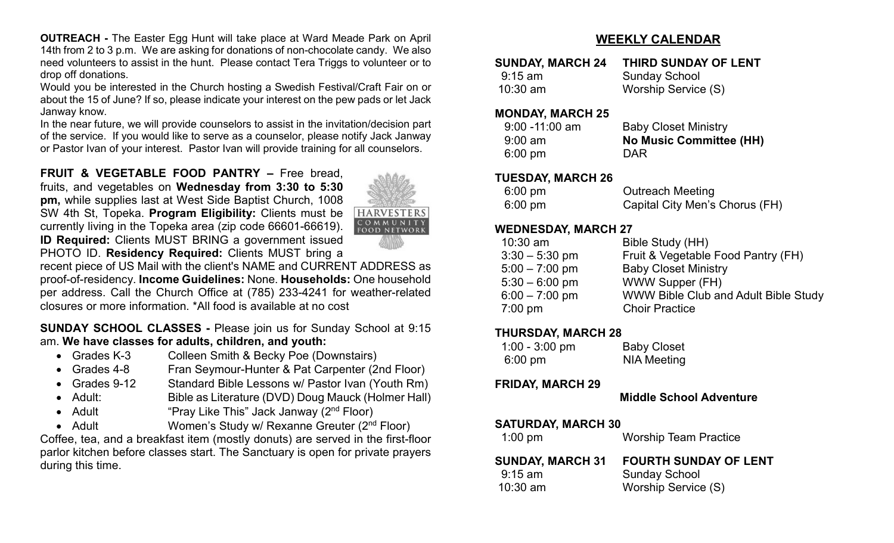**OUTREACH -** The Easter Egg Hunt will take place at Ward Meade Park on April 14th from 2 to 3 p.m. We are asking for donations of non-chocolate candy. We also need volunteers to assist in the hunt. Please contact Tera Triggs to volunteer or to drop off donations.

Would you be interested in the Church hosting a Swedish Festival/Craft Fair on or about the 15 of June? If so, please indicate your interest on the pew pads or let Jack Janway know.

In the near future, we will provide counselors to assist in the invitation/decision part of the service. If you would like to serve as a counselor, please notify Jack Janway or Pastor Ivan of your interest. Pastor Ivan will provide training for all counselors.

**FRUIT & VEGETABLE FOOD PANTRY –** Free bread, fruits, and vegetables on **Wednesday from 3:30 to 5:30 pm,** while supplies last at West Side Baptist Church, 1008 SW 4th St, Topeka. **Program Eligibility:** Clients must be currently living in the Topeka area (zip code 66601-66619). **ID Required:** Clients MUST BRING a government issued PHOTO ID. **Residency Required:** Clients MUST bring a



recent piece of US Mail with the client's NAME and CURRENT ADDRESS as proof-of-residency. **Income Guidelines:** None. **Households:** One household per address. Call the Church Office at (785) 233-4241 for weather-related closures or more information. \*All food is available at no cost

**SUNDAY SCHOOL CLASSES -** Please join us for Sunday School at 9:15 am. **We have classes for adults, children, and youth:**

- Grades K-3 Colleen Smith & Becky Poe (Downstairs)
- Grades 4-8 Fran Seymour-Hunter & Pat Carpenter (2nd Floor)
- Grades 9-12 Standard Bible Lessons w/ Pastor Ivan (Youth Rm)
- Adult: Bible as Literature (DVD) Doug Mauck (Holmer Hall)
- Adult "Pray Like This" Jack Janway (2<sup>nd</sup> Floor)
- Adult Women's Study w/ Rexanne Greuter (2<sup>nd</sup> Floor)

Coffee, tea, and a breakfast item (mostly donuts) are served in the first-floor parlor kitchen before classes start. The Sanctuary is open for private prayers during this time.

# **WEEKLY CALENDAR**

| <b>SUNDAY, MARCH 24</b> | THIRD SUNDAY OF LENT |
|-------------------------|----------------------|
| $9:15 \text{ am}$       | <b>Sunday School</b> |
| $10:30$ am              | Worship Service (S)  |

#### **MONDAY, MARCH 25**

| <b>Baby Closet Ministry</b>    |
|--------------------------------|
| <b>No Music Committee (HH)</b> |
| <b>DAR</b>                     |
|                                |

#### **TUESDAY, MARCH 26**

| $6:00 \text{ pm}$ | <b>Outreach Meeting</b>        |
|-------------------|--------------------------------|
| $6:00 \text{ pm}$ | Capital City Men's Chorus (FH) |

#### **WEDNESDAY, MARCH 27**

| $10:30$ am        | Bible Study (HH)                            |
|-------------------|---------------------------------------------|
| $3:30 - 5:30$ pm  | Fruit & Vegetable Food Pantry (FH)          |
| $5:00 - 7:00$ pm  | <b>Baby Closet Ministry</b>                 |
| $5:30 - 6:00$ pm  | <b>WWW Supper (FH)</b>                      |
| $6:00 - 7:00$ pm  | <b>WWW Bible Club and Adult Bible Study</b> |
| $7:00 \text{ pm}$ | <b>Choir Practice</b>                       |
|                   |                                             |

#### **THURSDAY, MARCH 28**

| $1:00 - 3:00$ pm  | <b>Baby Closet</b> |
|-------------------|--------------------|
| $6:00 \text{ pm}$ | <b>NIA Meeting</b> |

#### **FRIDAY, MARCH 29**

 **Middle School Adventure**

#### **SATURDAY, MARCH 30**

#### **SUNDAY, MARCH 31 FOURTH SUNDAY OF LENT**

| 9:15 am    | <b>Sunday School</b> |
|------------|----------------------|
| $10:30$ am | Worship Service (S)  |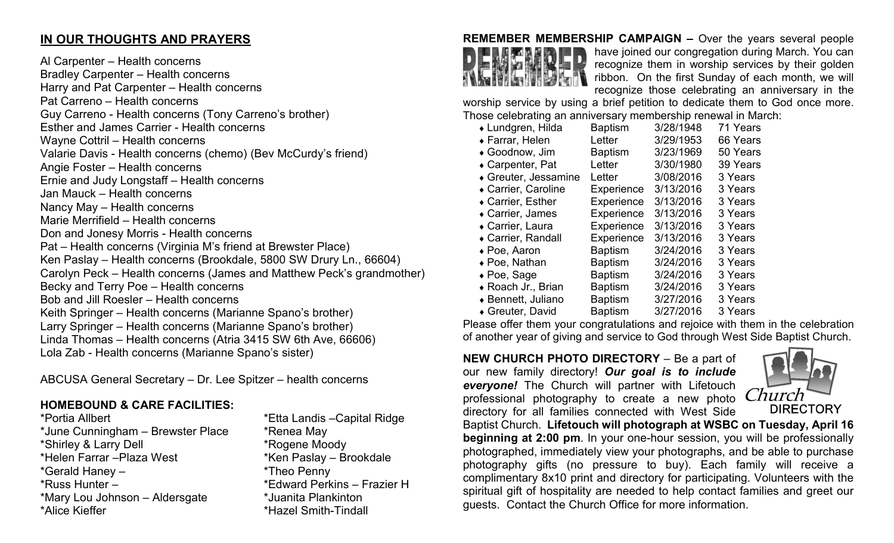# **IN OUR THOUGHTS AND PRAYERS**

Al Carpenter – Health concerns Bradley Carpenter – Health concerns Harry and Pat Carpenter – Health concerns Pat Carreno – Health concerns Guy Carreno - Health concerns (Tony Carreno's brother) Esther and James Carrier - Health concerns Wayne Cottril – Health concerns Valarie Davis - Health concerns (chemo) (Bev McCurdy's friend) Angie Foster – Health concerns Ernie and Judy Longstaff – Health concerns Jan Mauck – Health concerns Nancy May – Health concerns Marie Merrifield – Health concerns Don and Jonesy Morris - Health concerns Pat – Health concerns (Virginia M's friend at Brewster Place) Ken Paslay – Health concerns (Brookdale, 5800 SW Drury Ln., 66604) Carolyn Peck – Health concerns (James and Matthew Peck's grandmother) Becky and Terry Poe – Health concerns Bob and Jill Roesler – Health concerns Keith Springer – Health concerns (Marianne Spano's brother) Larry Springer – Health concerns (Marianne Spano's brother) Linda Thomas – Health concerns (Atria 3415 SW 6th Ave, 66606) Lola Zab - Health concerns (Marianne Spano's sister)

ABCUSA General Secretary – Dr. Lee Spitzer – health concerns

# **HOMEBOUND & CARE FACILITIES:**

\*Portia Allbert \*Etta Landis –Capital Ridge \*June Cunningham – Brewster Place \* \* Renea May \*Shirley & Larry Dell \*Rogene Moody \*Helen Farrar – Plaza West \*Gerald Haney – \*Theo Penny \*Russ Hunter – \* \*Edward Perkins – Frazier H<br>\*Mary Lou Johnson – Aldersgate \* \*Juanita Plankinton \*Mary Lou Johnson – Aldersgate \*Alice Kieffer \*Hazel Smith-Tindall



**REMEMBER MEMBERSHIP CAMPAIGN –** Over the years several people have joined our congregation during March. You can recognize them in worship services by their golden ribbon. On the first Sunday of each month, we will recognize those celebrating an anniversary in the

worship service by using a brief petition to dedicate them to God once more. Those celebrating an anniversary membership renewal in March:

| ◆ Lundgren, Hilda    | <b>Baptism</b> | 3/28/1948 | 71 Years |
|----------------------|----------------|-----------|----------|
| ◆ Farrar, Helen      | Letter         | 3/29/1953 | 66 Years |
| ◆ Goodnow, Jim       | <b>Baptism</b> | 3/23/1969 | 50 Years |
| ◆ Carpenter, Pat     | Letter         | 3/30/1980 | 39 Years |
| ◆ Greuter, Jessamine | Letter         | 3/08/2016 | 3 Years  |
| ◆ Carrier, Caroline  | Experience     | 3/13/2016 | 3 Years  |
| ◆ Carrier, Esther    | Experience     | 3/13/2016 | 3 Years  |
| • Carrier, James     | Experience     | 3/13/2016 | 3 Years  |
| ◆ Carrier, Laura     | Experience     | 3/13/2016 | 3 Years  |
| ◆ Carrier, Randall   | Experience     | 3/13/2016 | 3 Years  |
| $\bullet$ Poe, Aaron | <b>Baptism</b> | 3/24/2016 | 3 Years  |
| ◆ Poe, Nathan        | <b>Baptism</b> | 3/24/2016 | 3 Years  |
| $\bullet$ Poe, Sage  | <b>Baptism</b> | 3/24/2016 | 3 Years  |
| ◆ Roach Jr., Brian   | <b>Baptism</b> | 3/24/2016 | 3 Years  |
| ◆ Bennett, Juliano   | <b>Baptism</b> | 3/27/2016 | 3 Years  |
| ◆ Greuter, David     | <b>Baptism</b> | 3/27/2016 | 3 Years  |
|                      |                |           |          |

Please offer them your congratulations and rejoice with them in the celebration of another year of giving and service to God through West Side Baptist Church.

#### **NEW CHURCH PHOTO DIRECTORY** – Be a part of our new family directory! *Our goal is to include everyone!* The Church will partner with Lifetouch professional photography to create a new photo directory for all families connected with West Side



Baptist Church. **Lifetouch will photograph at WSBC on Tuesday, April 16 beginning at 2:00 pm**. In your one-hour session, you will be professionally photographed, immediately view your photographs, and be able to purchase photography gifts (no pressure to buy). Each family will receive a complimentary 8x10 print and directory for participating. Volunteers with the spiritual gift of hospitality are needed to help contact families and greet our guests. Contact the Church Office for more information.